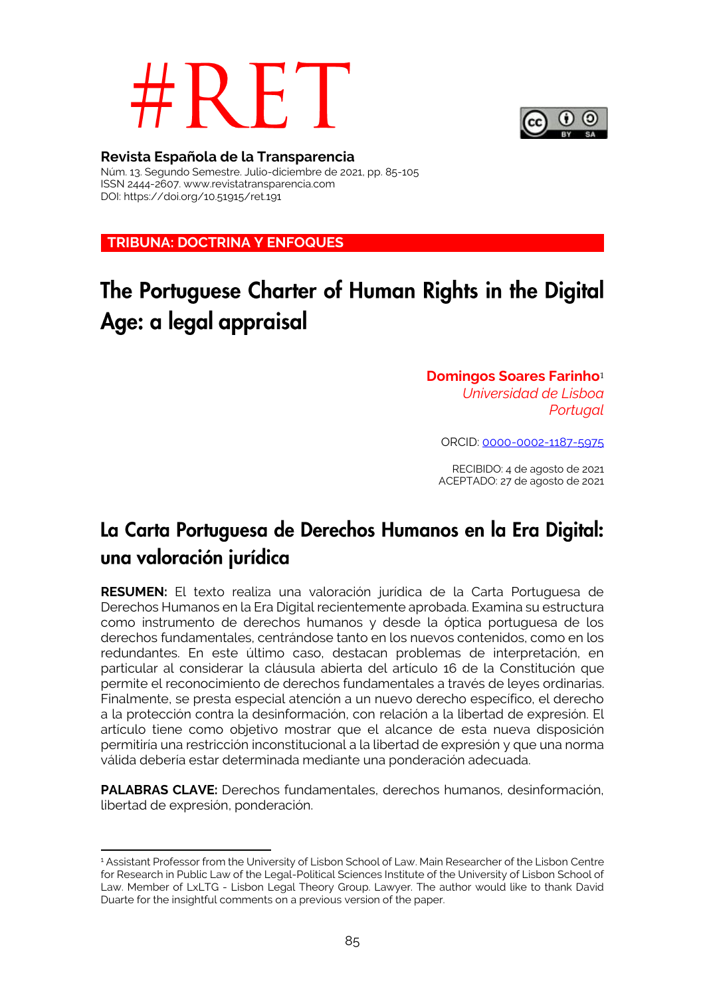# R F



# **Revista Española de la Transparencia**

Núm. 13. Segundo Semestre. Julio-diciembre de 2021, pp. 85-105 ISSN 2444-2607. www.revistatransparencia.com DOI: https://doi.org/10.51915/ret.191

**TRIBUNA: DOCTRINA Y ENFOQUES**

# The Portuguese Charter of Human Rights in the Digital Age: a legal appraisal

# **Domingos Soares Farinho**<sup>1</sup> *Universidad de Lisboa Portugal*

ORCID: 0000-0002-1187-5975

RECIBIDO: 4 de agosto de 2021 ACEPTADO: 27 de agosto de 2021

# La Carta Portuguesa de Derechos Humanos en la Era Digital: una valoración jurídica

**RESUMEN:** El texto realiza una valoración jurídica de la Carta Portuguesa de Derechos Humanos en la Era Digital recientemente aprobada. Examina su estructura como instrumento de derechos humanos y desde la óptica portuguesa de los derechos fundamentales, centrándose tanto en los nuevos contenidos, como en los redundantes. En este último caso, destacan problemas de interpretación, en particular al considerar la cláusula abierta del artículo 16 de la Constitución que permite el reconocimiento de derechos fundamentales a través de leyes ordinarias. Finalmente, se presta especial atención a un nuevo derecho específico, el derecho a la protección contra la desinformación, con relación a la libertad de expresión. El artículo tiene como objetivo mostrar que el alcance de esta nueva disposición permitiría una restricción inconstitucional a la libertad de expresión y que una norma válida debería estar determinada mediante una ponderación adecuada.

**PALABRAS CLAVE:** Derechos fundamentales, derechos humanos, desinformación, libertad de expresión, ponderación.

<sup>1</sup> <sup>1</sup> Assistant Professor from the University of Lisbon School of Law. Main Researcher of the Lisbon Centre for Research in Public Law of the Legal-Political Sciences Institute of the University of Lisbon School of Law. Member of LxLTG - Lisbon Legal Theory Group. Lawyer. The author would like to thank David Duarte for the insightful comments on a previous version of the paper.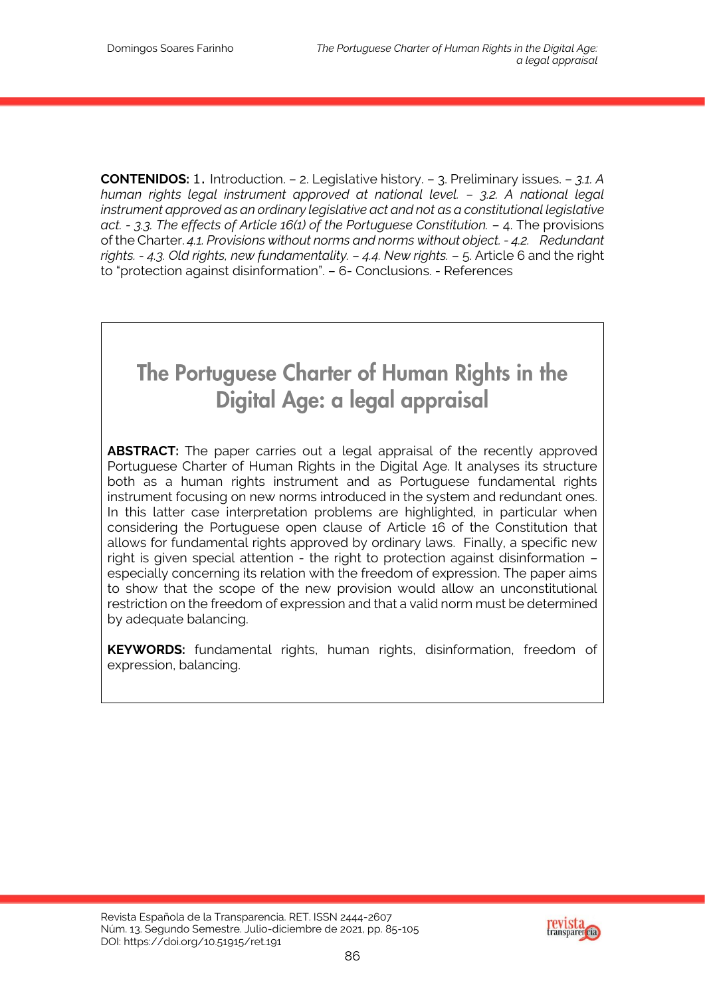**CONTENIDOS:** 1. Introduction. – 2. Legislative history. – 3. Preliminary issues. – *3.1. A human rights legal instrument approved at national level. – 3.2. A national legal instrument approved as an ordinary legislative act and not as a constitutional legislative act. - 3.3. The effects of Article 16(1) of the Portuguese Constitution.* – 4. The provisions of the Charter. *4.1. Provisions without norms and norms without object. - 4.2. Redundant rights. - 4.3. Old rights, new fundamentality. – 4.4. New rights.* – 5. Article 6 and the right to "protection against disinformation". – 6- Conclusions. - References

# The Portuguese Charter of Human Rights in the Digital Age: a legal appraisal

**ABSTRACT:** The paper carries out a legal appraisal of the recently approved Portuguese Charter of Human Rights in the Digital Age. It analyses its structure both as a human rights instrument and as Portuguese fundamental rights instrument focusing on new norms introduced in the system and redundant ones. In this latter case interpretation problems are highlighted, in particular when considering the Portuguese open clause of Article 16 of the Constitution that allows for fundamental rights approved by ordinary laws. Finally, a specific new right is given special attention - the right to protection against disinformation – especially concerning its relation with the freedom of expression. The paper aims to show that the scope of the new provision would allow an unconstitutional restriction on the freedom of expression and that a valid norm must be determined by adequate balancing.

**KEYWORDS:** fundamental rights, human rights, disinformation, freedom of expression, balancing.

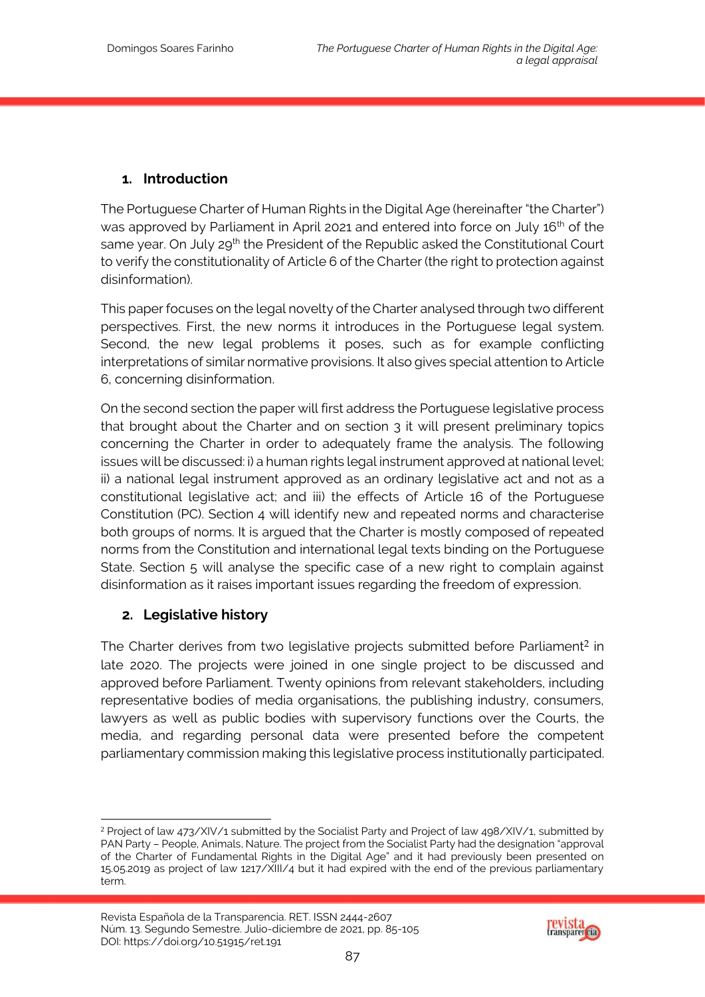# **1. Introduction**

The Portuguese Charter of Human Rights in the Digital Age (hereinafter "the Charter") was approved by Parliament in April 2021 and entered into force on July 16<sup>th</sup> of the same year. On July 29<sup>th</sup> the President of the Republic asked the Constitutional Court to verify the constitutionality of Article 6 of the Charter (the right to protection against disinformation).

This paper focuses on the legal novelty of the Charter analysed through two different perspectives. First, the new norms it introduces in the Portuguese legal system. Second, the new legal problems it poses, such as for example conflicting interpretations of similar normative provisions. It also gives special attention to Article 6, concerning disinformation.

On the second section the paper will first address the Portuguese legislative process that brought about the Charter and on section 3 it will present preliminary topics concerning the Charter in order to adequately frame the analysis. The following issues will be discussed: i) a human rights legal instrument approved at national level; ii) a national legal instrument approved as an ordinary legislative act and not as a constitutional legislative act; and iii) the effects of Article 16 of the Portuguese Constitution (PC). Section 4 will identify new and repeated norms and characterise both groups of norms. It is argued that the Charter is mostly composed of repeated norms from the Constitution and international legal texts binding on the Portuguese State. Section 5 will analyse the specific case of a new right to complain against disinformation as it raises important issues regarding the freedom of expression.

#### **2. Legislative history**

The Charter derives from two legislative projects submitted before Parliament<sup>2</sup> in late 2020. The projects were joined in one single project to be discussed and approved before Parliament. Twenty opinions from relevant stakeholders, including representative bodies of media organisations, the publishing industry, consumers, lawyers as well as public bodies with supervisory functions over the Courts, the media, and regarding personal data were presented before the competent parliamentary commission making this legislative process institutionally participated.



<sup>-</sup><sup>2</sup> Project of law 473/XIV/1 submitted by the Socialist Party and Project of law 498/XIV/1, submitted by PAN Party – People, Animals, Nature. The project from the Socialist Party had the designation "approval of the Charter of Fundamental Rights in the Digital Age" and it had previously been presented on 15.05.2019 as project of law 1217/XIII/4 but it had expired with the end of the previous parliamentary term.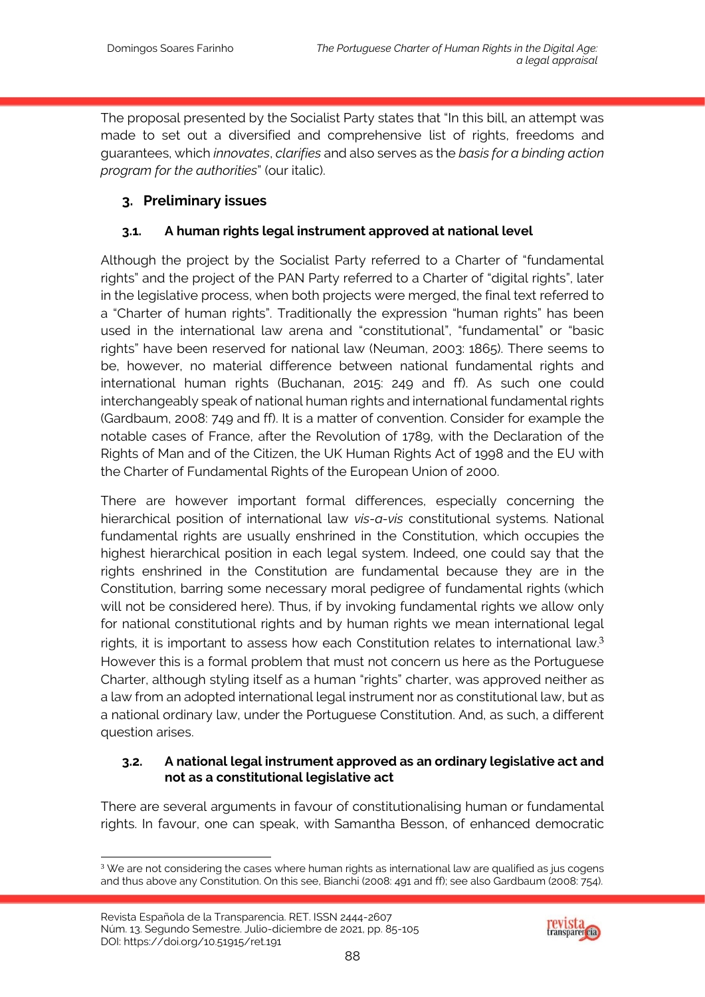The proposal presented by the Socialist Party states that "In this bill, an attempt was made to set out a diversified and comprehensive list of rights, freedoms and guarantees, which *innovates*, *clarifies* and also serves as the *basis for a binding action program for the authorities*" (our italic).

# **3. Preliminary issues**

# **3.1. A human rights legal instrument approved at national level**

Although the project by the Socialist Party referred to a Charter of "fundamental rights" and the project of the PAN Party referred to a Charter of "digital rights", later in the legislative process, when both projects were merged, the final text referred to a "Charter of human rights". Traditionally the expression "human rights" has been used in the international law arena and "constitutional", "fundamental" or "basic rights" have been reserved for national law (Neuman, 2003: 1865). There seems to be, however, no material difference between national fundamental rights and international human rights (Buchanan, 2015: 249 and ff). As such one could interchangeably speak of national human rights and international fundamental rights (Gardbaum, 2008: 749 and ff). It is a matter of convention. Consider for example the notable cases of France, after the Revolution of 1789, with the Declaration of the Rights of Man and of the Citizen, the UK Human Rights Act of 1998 and the EU with the Charter of Fundamental Rights of the European Union of 2000.

There are however important formal differences, especially concerning the hierarchical position of international law *vis-a-vis* constitutional systems. National fundamental rights are usually enshrined in the Constitution, which occupies the highest hierarchical position in each legal system. Indeed, one could say that the rights enshrined in the Constitution are fundamental because they are in the Constitution, barring some necessary moral pedigree of fundamental rights (which will not be considered here). Thus, if by invoking fundamental rights we allow only for national constitutional rights and by human rights we mean international legal rights, it is important to assess how each Constitution relates to international law.3 However this is a formal problem that must not concern us here as the Portuguese Charter, although styling itself as a human "rights" charter, was approved neither as a law from an adopted international legal instrument nor as constitutional law, but as a national ordinary law, under the Portuguese Constitution. And, as such, a different question arises.

#### **3.2. A national legal instrument approved as an ordinary legislative act and not as a constitutional legislative act**

There are several arguments in favour of constitutionalising human or fundamental rights. In favour, one can speak, with Samantha Besson, of enhanced democratic



<sup>1</sup>  $3$  We are not considering the cases where human rights as international law are qualified as jus cogens and thus above any Constitution. On this see, Bianchi (2008: 491 and ff); see also Gardbaum (2008: 754).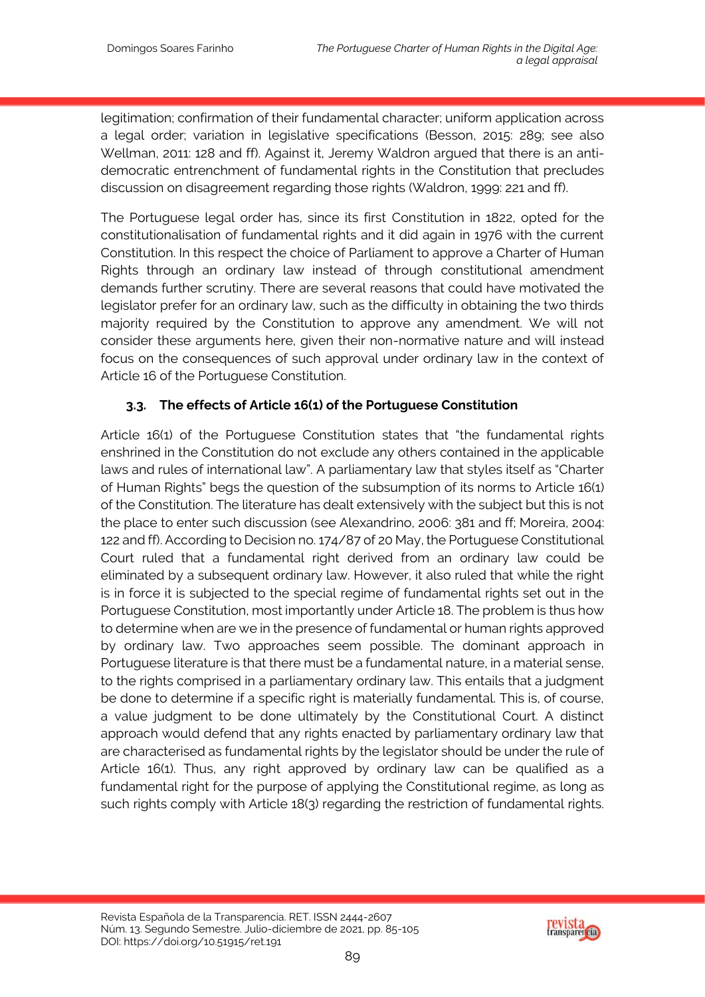legitimation; confirmation of their fundamental character; uniform application across a legal order; variation in legislative specifications (Besson, 2015: 289; see also Wellman, 2011: 128 and ff). Against it, Jeremy Waldron argued that there is an antidemocratic entrenchment of fundamental rights in the Constitution that precludes discussion on disagreement regarding those rights (Waldron, 1999: 221 and ff).

The Portuguese legal order has, since its first Constitution in 1822, opted for the constitutionalisation of fundamental rights and it did again in 1976 with the current Constitution. In this respect the choice of Parliament to approve a Charter of Human Rights through an ordinary law instead of through constitutional amendment demands further scrutiny. There are several reasons that could have motivated the legislator prefer for an ordinary law, such as the difficulty in obtaining the two thirds majority required by the Constitution to approve any amendment. We will not consider these arguments here, given their non-normative nature and will instead focus on the consequences of such approval under ordinary law in the context of Article 16 of the Portuguese Constitution.

#### **3.3. The effects of Article 16(1) of the Portuguese Constitution**

Article 16(1) of the Portuguese Constitution states that "the fundamental rights enshrined in the Constitution do not exclude any others contained in the applicable laws and rules of international law". A parliamentary law that styles itself as "Charter of Human Rights" begs the question of the subsumption of its norms to Article 16(1) of the Constitution. The literature has dealt extensively with the subject but this is not the place to enter such discussion (see Alexandrino, 2006: 381 and ff; Moreira, 2004: 122 and ff). According to Decision no. 174/87 of 20 May, the Portuguese Constitutional Court ruled that a fundamental right derived from an ordinary law could be eliminated by a subsequent ordinary law. However, it also ruled that while the right is in force it is subjected to the special regime of fundamental rights set out in the Portuguese Constitution, most importantly under Article 18. The problem is thus how to determine when are we in the presence of fundamental or human rights approved by ordinary law. Two approaches seem possible. The dominant approach in Portuguese literature is that there must be a fundamental nature, in a material sense, to the rights comprised in a parliamentary ordinary law. This entails that a judgment be done to determine if a specific right is materially fundamental. This is, of course, a value judgment to be done ultimately by the Constitutional Court. A distinct approach would defend that any rights enacted by parliamentary ordinary law that are characterised as fundamental rights by the legislator should be under the rule of Article 16(1). Thus, any right approved by ordinary law can be qualified as a fundamental right for the purpose of applying the Constitutional regime, as long as such rights comply with Article 18(3) regarding the restriction of fundamental rights.

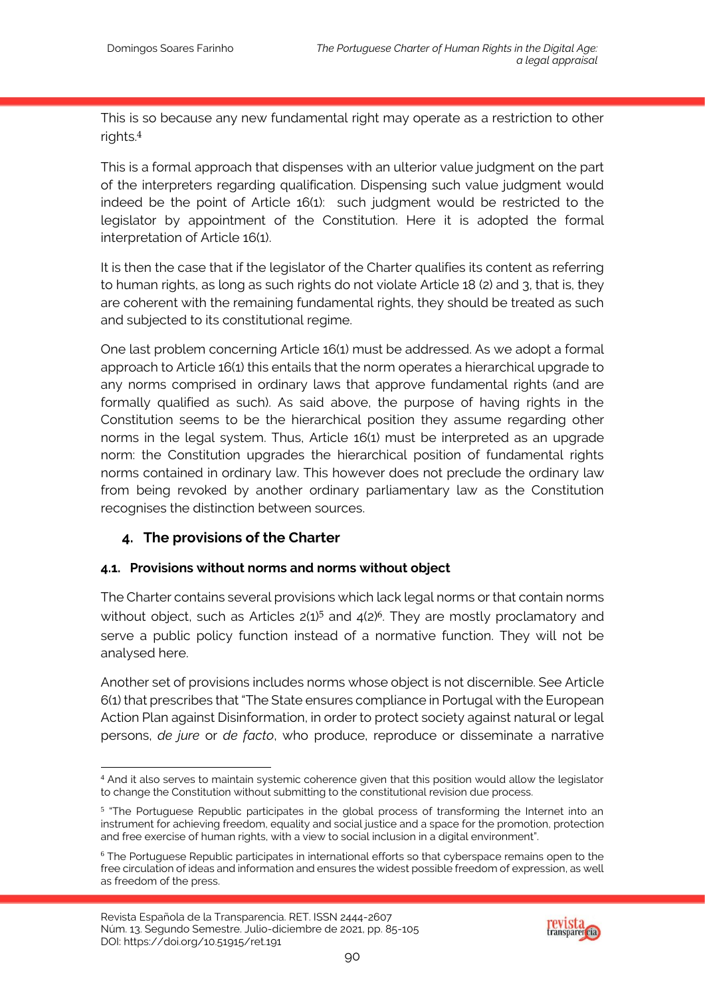This is so because any new fundamental right may operate as a restriction to other rights.4

This is a formal approach that dispenses with an ulterior value judgment on the part of the interpreters regarding qualification. Dispensing such value judgment would indeed be the point of Article 16(1): such judgment would be restricted to the legislator by appointment of the Constitution. Here it is adopted the formal interpretation of Article 16(1).

It is then the case that if the legislator of the Charter qualifies its content as referring to human rights, as long as such rights do not violate Article 18 (2) and 3, that is, they are coherent with the remaining fundamental rights, they should be treated as such and subjected to its constitutional regime.

One last problem concerning Article 16(1) must be addressed. As we adopt a formal approach to Article 16(1) this entails that the norm operates a hierarchical upgrade to any norms comprised in ordinary laws that approve fundamental rights (and are formally qualified as such). As said above, the purpose of having rights in the Constitution seems to be the hierarchical position they assume regarding other norms in the legal system. Thus, Article 16(1) must be interpreted as an upgrade norm: the Constitution upgrades the hierarchical position of fundamental rights norms contained in ordinary law. This however does not preclude the ordinary law from being revoked by another ordinary parliamentary law as the Constitution recognises the distinction between sources.

# **4. The provisions of the Charter**

# **4.1. Provisions without norms and norms without object**

The Charter contains several provisions which lack legal norms or that contain norms without object, such as Articles 2(1)<sup>5</sup> and 4(2)<sup>6</sup>. They are mostly proclamatory and serve a public policy function instead of a normative function. They will not be analysed here.

Another set of provisions includes norms whose object is not discernible. See Article 6(1) that prescribes that "The State ensures compliance in Portugal with the European Action Plan against Disinformation, in order to protect society against natural or legal persons, *de jure* or *de facto*, who produce, reproduce or disseminate a narrative



<sup>1</sup> <sup>4</sup> And it also serves to maintain systemic coherence given that this position would allow the legislator to change the Constitution without submitting to the constitutional revision due process.

<sup>&</sup>lt;sup>5</sup> "The Portuguese Republic participates in the global process of transforming the Internet into an instrument for achieving freedom, equality and social justice and a space for the promotion, protection and free exercise of human rights, with a view to social inclusion in a digital environment".

<sup>&</sup>lt;sup>6</sup> The Portuguese Republic participates in international efforts so that cyberspace remains open to the free circulation of ideas and information and ensures the widest possible freedom of expression, as well as freedom of the press.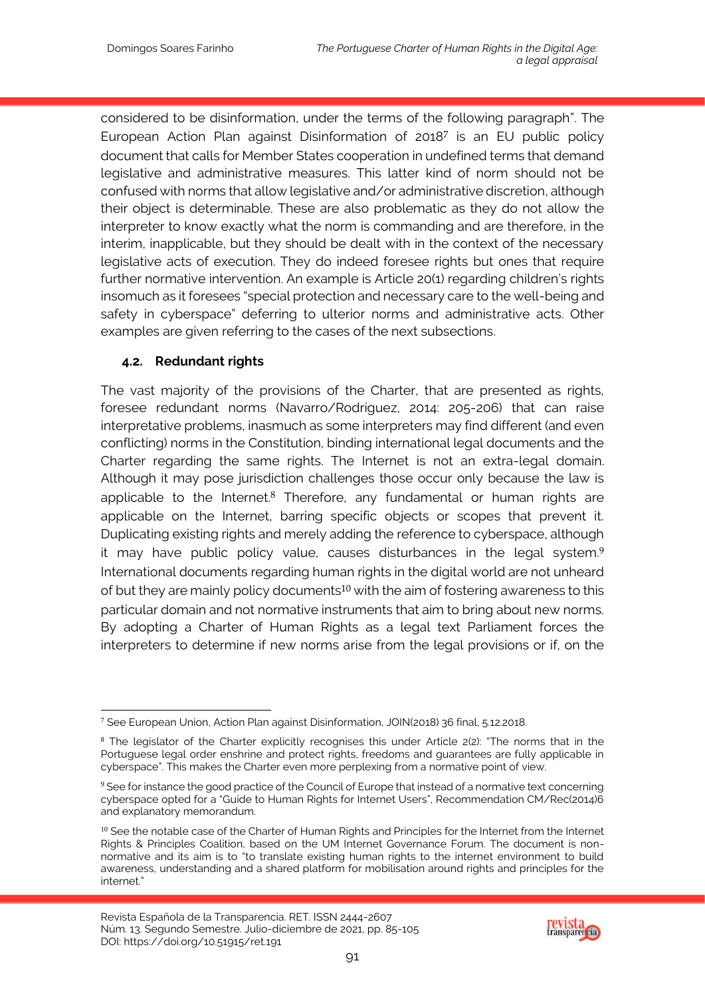considered to be disinformation, under the terms of the following paragraph". The European Action Plan against Disinformation of 20187 is an EU public policy document that calls for Member States cooperation in undefined terms that demand legislative and administrative measures. This latter kind of norm should not be confused with norms that allow legislative and/or administrative discretion, although their object is determinable. These are also problematic as they do not allow the interpreter to know exactly what the norm is commanding and are therefore, in the interim, inapplicable, but they should be dealt with in the context of the necessary legislative acts of execution. They do indeed foresee rights but ones that require further normative intervention. An example is Article 20(1) regarding children's rights insomuch as it foresees "special protection and necessary care to the well-being and safety in cyberspace" deferring to ulterior norms and administrative acts. Other examples are given referring to the cases of the next subsections.

#### **4.2. Redundant rights**

The vast majority of the provisions of the Charter, that are presented as rights, foresee redundant norms (Navarro/Rodríguez, 2014: 205-206) that can raise interpretative problems, inasmuch as some interpreters may find different (and even conflicting) norms in the Constitution, binding international legal documents and the Charter regarding the same rights. The Internet is not an extra-legal domain. Although it may pose jurisdiction challenges those occur only because the law is applicable to the Internet.<sup>8</sup> Therefore, any fundamental or human rights are applicable on the Internet, barring specific objects or scopes that prevent it. Duplicating existing rights and merely adding the reference to cyberspace, although it may have public policy value, causes disturbances in the legal system.9 International documents regarding human rights in the digital world are not unheard of but they are mainly policy documents<sup>10</sup> with the aim of fostering awareness to this particular domain and not normative instruments that aim to bring about new norms. By adopting a Charter of Human Rights as a legal text Parliament forces the interpreters to determine if new norms arise from the legal provisions or if, on the



<sup>1</sup> <sup>7</sup> See European Union, Action Plan against Disinformation, JOIN(2018) 36 final, 5.12.2018.

<sup>&</sup>lt;sup>8</sup> The legislator of the Charter explicitly recognises this under Article 2(2): "The norms that in the Portuguese legal order enshrine and protect rights, freedoms and guarantees are fully applicable in cyberspace". This makes the Charter even more perplexing from a normative point of view.

<sup>9</sup> See for instance the good practice of the Council of Europe that instead of a normative text concerning cyberspace opted for a "Guide to Human Rights for Internet Users", Recommendation CM/Rec(2014)6 and explanatory memorandum.

<sup>&</sup>lt;sup>10</sup> See the notable case of the Charter of Human Rights and Principles for the Internet from the Internet Rights & Principles Coalition, based on the UM Internet Governance Forum. The document is nonnormative and its aim is to "to translate existing human rights to the internet environment to build awareness, understanding and a shared platform for mobilisation around rights and principles for the internet."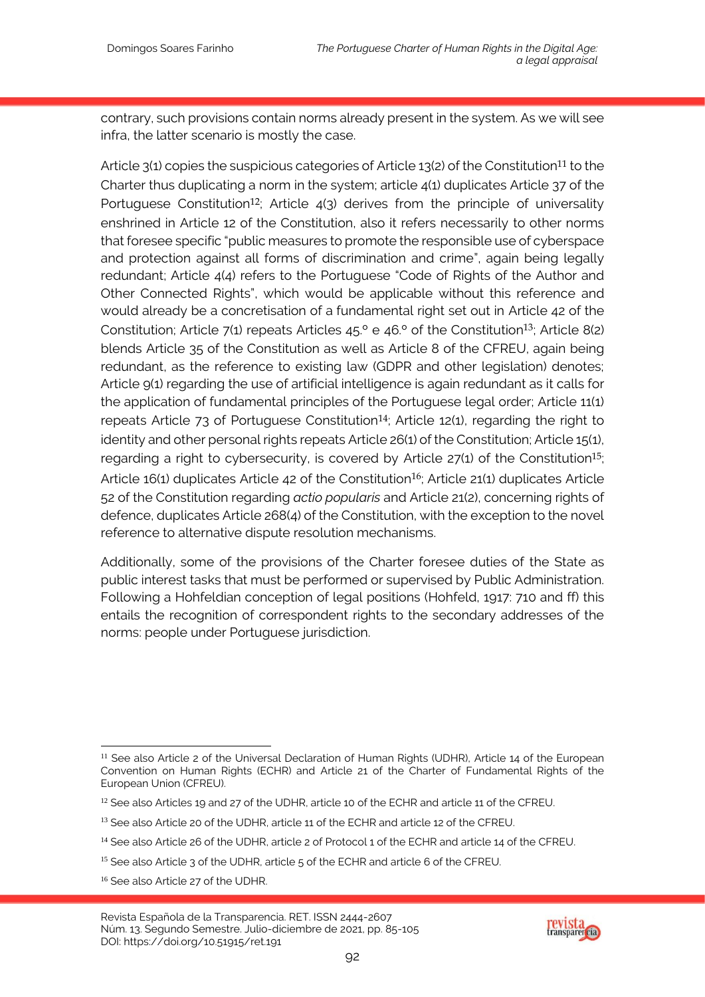contrary, such provisions contain norms already present in the system. As we will see infra, the latter scenario is mostly the case.

Article 3(1) copies the suspicious categories of Article 13(2) of the Constitution<sup>11</sup> to the Charter thus duplicating a norm in the system; article 4(1) duplicates Article 37 of the Portuguese Constitution<sup>12</sup>; Article  $4(3)$  derives from the principle of universality enshrined in Article 12 of the Constitution, also it refers necessarily to other norms that foresee specific "public measures to promote the responsible use of cyberspace and protection against all forms of discrimination and crime", again being legally redundant; Article 4(4) refers to the Portuguese "Code of Rights of the Author and Other Connected Rights", which would be applicable without this reference and would already be a concretisation of a fundamental right set out in Article 42 of the Constitution; Article 7(1) repeats Articles  $45.°$  e  $46.°$  of the Constitution<sup>13</sup>; Article 8(2) blends Article 35 of the Constitution as well as Article 8 of the CFREU, again being redundant, as the reference to existing law (GDPR and other legislation) denotes; Article 9(1) regarding the use of artificial intelligence is again redundant as it calls for the application of fundamental principles of the Portuguese legal order; Article 11(1) repeats Article  $73$  of Portuguese Constitution<sup>14</sup>; Article 12(1), regarding the right to identity and other personal rights repeats Article 26(1) of the Constitution; Article 15(1), regarding a right to cybersecurity, is covered by Article 27(1) of the Constitution<sup>15</sup>; Article 16(1) duplicates Article 42 of the Constitution<sup>16</sup>; Article 21(1) duplicates Article 52 of the Constitution regarding *actio popularis* and Article 21(2), concerning rights of defence, duplicates Article 268(4) of the Constitution, with the exception to the novel reference to alternative dispute resolution mechanisms.

Additionally, some of the provisions of the Charter foresee duties of the State as public interest tasks that must be performed or supervised by Public Administration. Following a Hohfeldian conception of legal positions (Hohfeld, 1917: 710 and ff) this entails the recognition of correspondent rights to the secondary addresses of the norms: people under Portuguese jurisdiction.



<sup>1</sup> <sup>11</sup> See also Article 2 of the Universal Declaration of Human Rights (UDHR), Article 14 of the European Convention on Human Rights (ECHR) and Article 21 of the Charter of Fundamental Rights of the European Union (CFREU).

 $12$  See also Articles 19 and 27 of the UDHR, article 10 of the ECHR and article 11 of the CFREU.

<sup>13</sup> See also Article 20 of the UDHR, article 11 of the ECHR and article 12 of the CFREU.

<sup>&</sup>lt;sup>14</sup> See also Article 26 of the UDHR, article 2 of Protocol 1 of the ECHR and article 14 of the CFREU.

<sup>&</sup>lt;sup>15</sup> See also Article 3 of the UDHR, article 5 of the ECHR and article 6 of the CFREU.

<sup>&</sup>lt;sup>16</sup> See also Article 27 of the UDHR.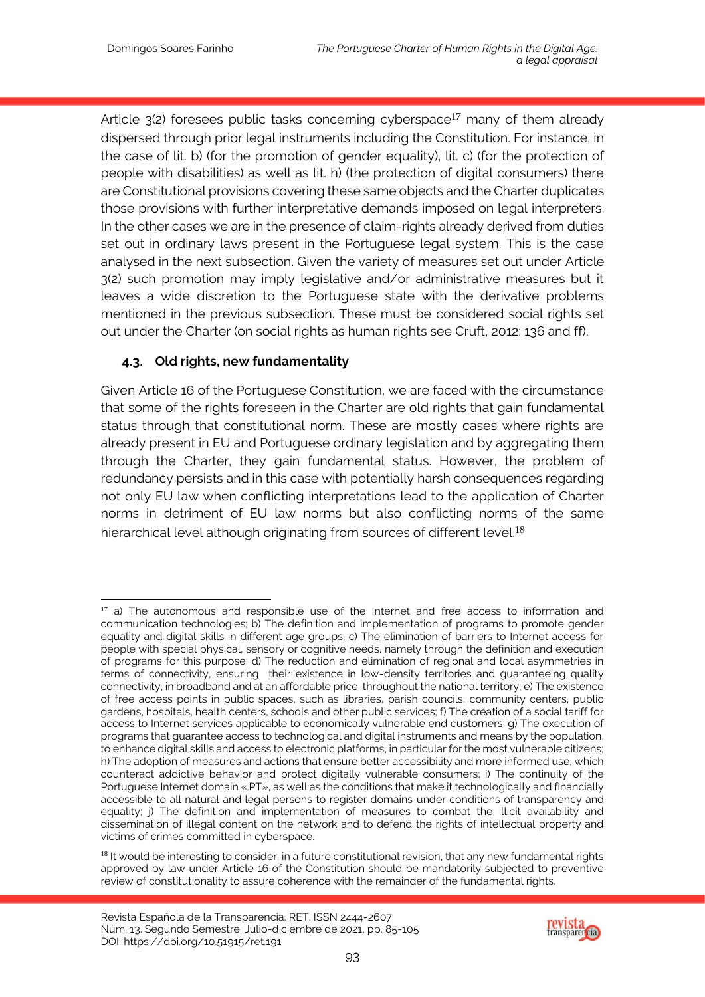Article 3(2) foresees public tasks concerning cyberspace<sup>17</sup> many of them already dispersed through prior legal instruments including the Constitution. For instance, in the case of lit. b) (for the promotion of gender equality), lit. c) (for the protection of people with disabilities) as well as lit. h) (the protection of digital consumers) there are Constitutional provisions covering these same objects and the Charter duplicates those provisions with further interpretative demands imposed on legal interpreters. In the other cases we are in the presence of claim-rights already derived from duties set out in ordinary laws present in the Portuguese legal system. This is the case analysed in the next subsection. Given the variety of measures set out under Article 3(2) such promotion may imply legislative and/or administrative measures but it leaves a wide discretion to the Portuguese state with the derivative problems mentioned in the previous subsection. These must be considered social rights set out under the Charter (on social rights as human rights see Cruft, 2012: 136 and ff).

# **4.3. Old rights, new fundamentality**

Given Article 16 of the Portuguese Constitution, we are faced with the circumstance that some of the rights foreseen in the Charter are old rights that gain fundamental status through that constitutional norm. These are mostly cases where rights are already present in EU and Portuguese ordinary legislation and by aggregating them through the Charter, they gain fundamental status. However, the problem of redundancy persists and in this case with potentially harsh consequences regarding not only EU law when conflicting interpretations lead to the application of Charter norms in detriment of EU law norms but also conflicting norms of the same hierarchical level although originating from sources of different level.<sup>18</sup>



<sup>1</sup>  $17$  a) The autonomous and responsible use of the Internet and free access to information and communication technologies; b) The definition and implementation of programs to promote gender equality and digital skills in different age groups; c) The elimination of barriers to Internet access for people with special physical, sensory or cognitive needs, namely through the definition and execution of programs for this purpose; d) The reduction and elimination of regional and local asymmetries in terms of connectivity, ensuring their existence in low-density territories and guaranteeing quality connectivity, in broadband and at an affordable price, throughout the national territory; e) The existence of free access points in public spaces, such as libraries, parish councils, community centers, public gardens, hospitals, health centers, schools and other public services; f) The creation of a social tariff for access to Internet services applicable to economically vulnerable end customers; g) The execution of programs that guarantee access to technological and digital instruments and means by the population, to enhance digital skills and access to electronic platforms, in particular for the most vulnerable citizens; h) The adoption of measures and actions that ensure better accessibility and more informed use, which counteract addictive behavior and protect digitally vulnerable consumers; i) The continuity of the Portuguese Internet domain «.PT», as well as the conditions that make it technologically and financially accessible to all natural and legal persons to register domains under conditions of transparency and equality; j) The definition and implementation of measures to combat the illicit availability and dissemination of illegal content on the network and to defend the rights of intellectual property and victims of crimes committed in cyberspace.

<sup>&</sup>lt;sup>18</sup> It would be interesting to consider, in a future constitutional revision, that any new fundamental rights approved by law under Article 16 of the Constitution should be mandatorily subjected to preventive review of constitutionality to assure coherence with the remainder of the fundamental rights.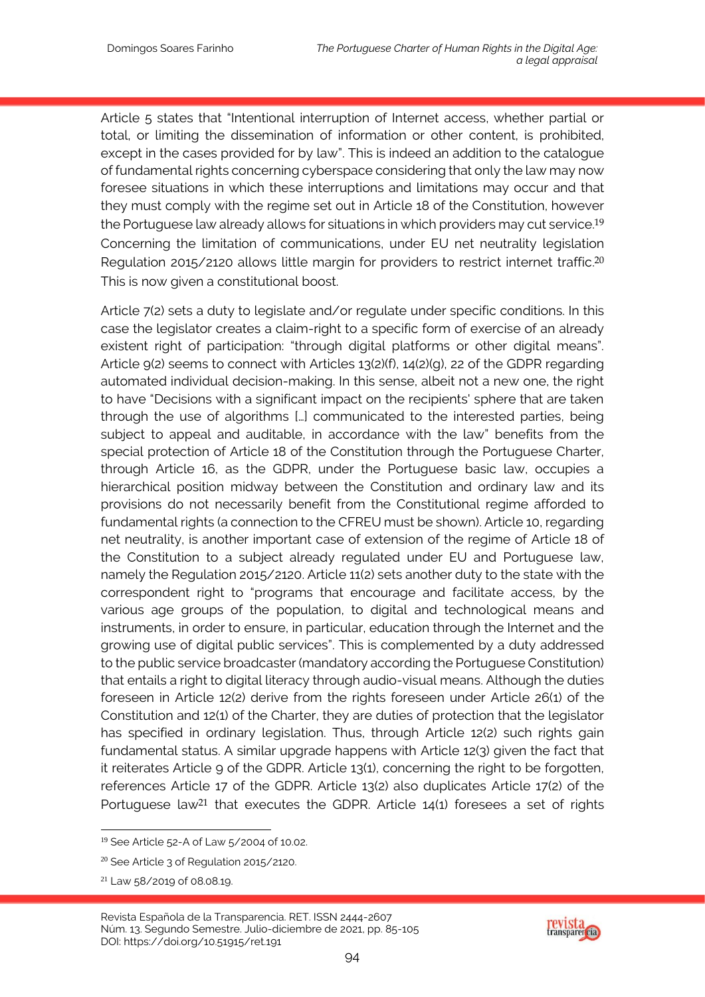Article 5 states that "Intentional interruption of Internet access, whether partial or total, or limiting the dissemination of information or other content, is prohibited, except in the cases provided for by law". This is indeed an addition to the catalogue of fundamental rights concerning cyberspace considering that only the law may now foresee situations in which these interruptions and limitations may occur and that they must comply with the regime set out in Article 18 of the Constitution, however the Portuguese law already allows for situations in which providers may cut service. 19 Concerning the limitation of communications, under EU net neutrality legislation Regulation 2015/2120 allows little margin for providers to restrict internet traffic.<sup>20</sup> This is now given a constitutional boost.

Article 7(2) sets a duty to legislate and/or regulate under specific conditions. In this case the legislator creates a claim-right to a specific form of exercise of an already existent right of participation: "through digital platforms or other digital means". Article 9(2) seems to connect with Articles 13(2)(f), 14(2)(g), 22 of the GDPR regarding automated individual decision-making. In this sense, albeit not a new one, the right to have "Decisions with a significant impact on the recipients' sphere that are taken through the use of algorithms […] communicated to the interested parties, being subject to appeal and auditable, in accordance with the law" benefits from the special protection of Article 18 of the Constitution through the Portuguese Charter, through Article 16, as the GDPR, under the Portuguese basic law, occupies a hierarchical position midway between the Constitution and ordinary law and its provisions do not necessarily benefit from the Constitutional regime afforded to fundamental rights (a connection to the CFREU must be shown). Article 10, regarding net neutrality, is another important case of extension of the regime of Article 18 of the Constitution to a subject already regulated under EU and Portuguese law, namely the Regulation 2015/2120. Article 11(2) sets another duty to the state with the correspondent right to "programs that encourage and facilitate access, by the various age groups of the population, to digital and technological means and instruments, in order to ensure, in particular, education through the Internet and the growing use of digital public services". This is complemented by a duty addressed to the public service broadcaster (mandatory according the Portuguese Constitution) that entails a right to digital literacy through audio-visual means. Although the duties foreseen in Article 12(2) derive from the rights foreseen under Article 26(1) of the Constitution and 12(1) of the Charter, they are duties of protection that the legislator has specified in ordinary legislation. Thus, through Article 12(2) such rights gain fundamental status. A similar upgrade happens with Article 12(3) given the fact that it reiterates Article 9 of the GDPR. Article 13(1), concerning the right to be forgotten, references Article 17 of the GDPR. Article 13(2) also duplicates Article 17(2) of the Portuguese law<sup>21</sup> that executes the GDPR. Article 14(1) foresees a set of rights

-

Revista Española de la Transparencia. RET. ISSN 2444-2607 Núm. 13. Segundo Semestre. Julio-diciembre de 2021, pp. 85-105 DOI: https://doi.org/10.51915/ret.191



<sup>19</sup> See Article 52-A of Law 5/2004 of 10.02.

<sup>&</sup>lt;sup>20</sup> See Article 3 of Regulation 2015/2120.

<sup>21</sup> Law 58/2019 of 08.08.19.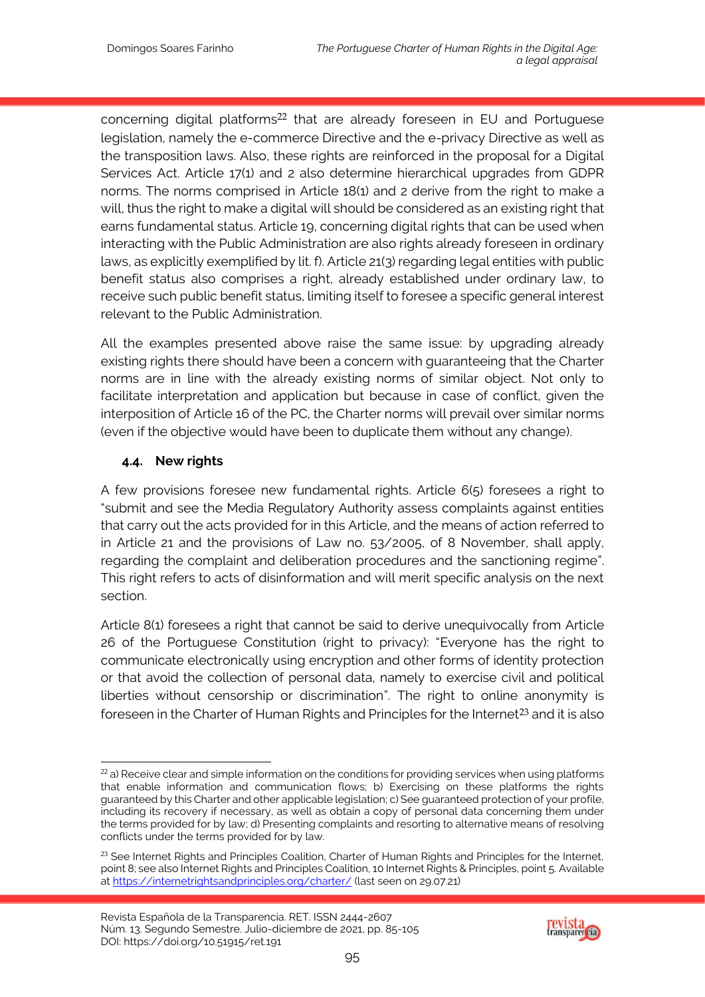concerning digital platforms<sup>22</sup> that are already foreseen in EU and Portuguese legislation, namely the e-commerce Directive and the e-privacy Directive as well as the transposition laws. Also, these rights are reinforced in the proposal for a Digital Services Act. Article 17(1) and 2 also determine hierarchical upgrades from GDPR norms. The norms comprised in Article 18(1) and 2 derive from the right to make a will, thus the right to make a digital will should be considered as an existing right that earns fundamental status. Article 19, concerning digital rights that can be used when interacting with the Public Administration are also rights already foreseen in ordinary laws, as explicitly exemplified by lit. f). Article 21(3) regarding legal entities with public benefit status also comprises a right, already established under ordinary law, to receive such public benefit status, limiting itself to foresee a specific general interest relevant to the Public Administration.

All the examples presented above raise the same issue: by upgrading already existing rights there should have been a concern with guaranteeing that the Charter norms are in line with the already existing norms of similar object. Not only to facilitate interpretation and application but because in case of conflict, given the interposition of Article 16 of the PC, the Charter norms will prevail over similar norms (even if the objective would have been to duplicate them without any change).

#### **4.4. New rights**

A few provisions foresee new fundamental rights. Article 6(5) foresees a right to "submit and see the Media Regulatory Authority assess complaints against entities that carry out the acts provided for in this Article, and the means of action referred to in Article 21 and the provisions of Law no. 53/2005, of 8 November, shall apply, regarding the complaint and deliberation procedures and the sanctioning regime". This right refers to acts of disinformation and will merit specific analysis on the next section.

Article 8(1) foresees a right that cannot be said to derive unequivocally from Article 26 of the Portuguese Constitution (right to privacy): "Everyone has the right to communicate electronically using encryption and other forms of identity protection or that avoid the collection of personal data, namely to exercise civil and political liberties without censorship or discrimination". The right to online anonymity is foreseen in the Charter of Human Rights and Principles for the Internet<sup>23</sup> and it is also



<sup>-</sup> $22$  a) Receive clear and simple information on the conditions for providing services when using platforms that enable information and communication flows; b) Exercising on these platforms the rights guaranteed by this Charter and other applicable legislation; c) See guaranteed protection of your profile, including its recovery if necessary, as well as obtain a copy of personal data concerning them under the terms provided for by law; d) Presenting complaints and resorting to alternative means of resolving conflicts under the terms provided for by law.

<sup>&</sup>lt;sup>23</sup> See Internet Rights and Principles Coalition, Charter of Human Rights and Principles for the Internet, point 8; see also Internet Rights and Principles Coalition, 10 Internet Rights & Principles, point 5. Available at https://internetrightsandprinciples.org/charter/ (last seen on 29.07.21)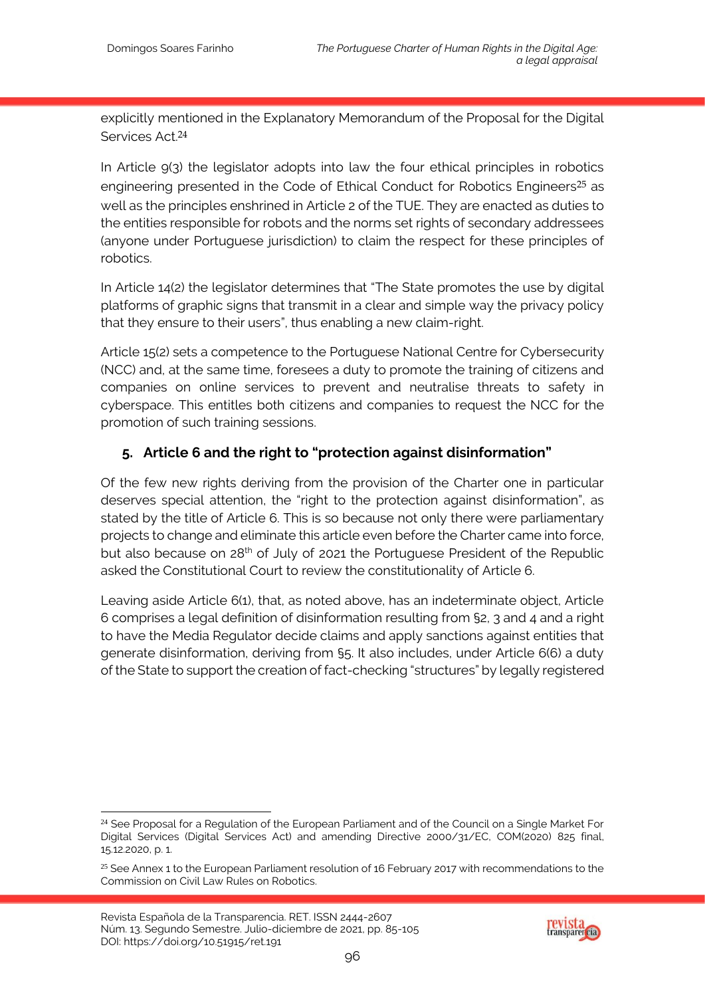explicitly mentioned in the Explanatory Memorandum of the Proposal for the Digital Services Act.24

In Article 9(3) the legislator adopts into law the four ethical principles in robotics engineering presented in the Code of Ethical Conduct for Robotics Engineers<sup>25</sup> as well as the principles enshrined in Article 2 of the TUE. They are enacted as duties to the entities responsible for robots and the norms set rights of secondary addressees (anyone under Portuguese jurisdiction) to claim the respect for these principles of robotics.

In Article 14(2) the legislator determines that "The State promotes the use by digital platforms of graphic signs that transmit in a clear and simple way the privacy policy that they ensure to their users", thus enabling a new claim-right.

Article 15(2) sets a competence to the Portuguese National Centre for Cybersecurity (NCC) and, at the same time, foresees a duty to promote the training of citizens and companies on online services to prevent and neutralise threats to safety in cyberspace. This entitles both citizens and companies to request the NCC for the promotion of such training sessions.

# **5. Article 6 and the right to "protection against disinformation"**

Of the few new rights deriving from the provision of the Charter one in particular deserves special attention, the "right to the protection against disinformation", as stated by the title of Article 6. This is so because not only there were parliamentary projects to change and eliminate this article even before the Charter came into force, but also because on 28<sup>th</sup> of July of 2021 the Portuguese President of the Republic asked the Constitutional Court to review the constitutionality of Article 6.

Leaving aside Article 6(1), that, as noted above, has an indeterminate object, Article 6 comprises a legal definition of disinformation resulting from §2, 3 and 4 and a right to have the Media Regulator decide claims and apply sanctions against entities that generate disinformation, deriving from §5. It also includes, under Article 6(6) a duty of the State to support the creation of fact-checking "structures" by legally registered

-



<sup>&</sup>lt;sup>24</sup> See Proposal for a Regulation of the European Parliament and of the Council on a Single Market For Digital Services (Digital Services Act) and amending Directive 2000/31/EC, COM(2020) 825 final, 15.12.2020, p. 1.

 $25$  See Annex 1 to the European Parliament resolution of 16 February 2017 with recommendations to the Commission on Civil Law Rules on Robotics.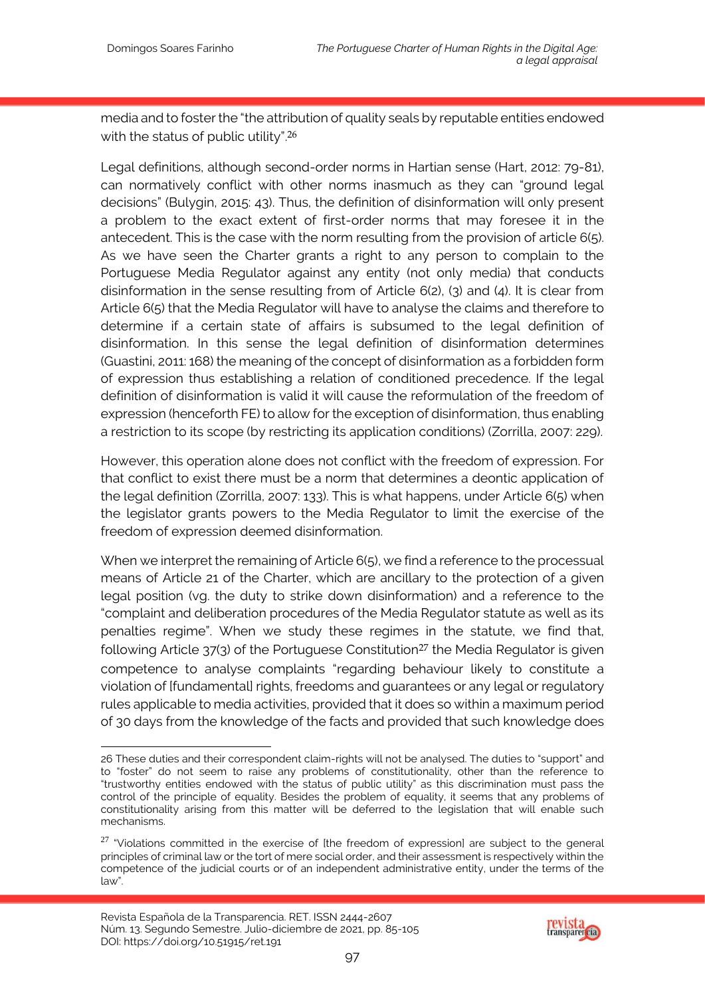media and to foster the "the attribution of quality seals by reputable entities endowed with the status of public utility".<sup>26</sup>

Legal definitions, although second-order norms in Hartian sense (Hart, 2012: 79-81), can normatively conflict with other norms inasmuch as they can "ground legal decisions" (Bulygin, 2015: 43). Thus, the definition of disinformation will only present a problem to the exact extent of first-order norms that may foresee it in the antecedent. This is the case with the norm resulting from the provision of article 6(5). As we have seen the Charter grants a right to any person to complain to the Portuguese Media Regulator against any entity (not only media) that conducts disinformation in the sense resulting from of Article 6(2), (3) and (4). It is clear from Article 6(5) that the Media Regulator will have to analyse the claims and therefore to determine if a certain state of affairs is subsumed to the legal definition of disinformation. In this sense the legal definition of disinformation determines (Guastini, 2011: 168) the meaning of the concept of disinformation as a forbidden form of expression thus establishing a relation of conditioned precedence. If the legal definition of disinformation is valid it will cause the reformulation of the freedom of expression (henceforth FE) to allow for the exception of disinformation, thus enabling a restriction to its scope (by restricting its application conditions) (Zorrilla, 2007: 229).

However, this operation alone does not conflict with the freedom of expression. For that conflict to exist there must be a norm that determines a deontic application of the legal definition (Zorrilla, 2007: 133). This is what happens, under Article 6(5) when the legislator grants powers to the Media Regulator to limit the exercise of the freedom of expression deemed disinformation.

When we interpret the remaining of Article 6(5), we find a reference to the processual means of Article 21 of the Charter, which are ancillary to the protection of a given legal position (vg. the duty to strike down disinformation) and a reference to the "complaint and deliberation procedures of the Media Regulator statute as well as its penalties regime". When we study these regimes in the statute, we find that, following Article  $37(3)$  of the Portuguese Constitution<sup>27</sup> the Media Regulator is given competence to analyse complaints "regarding behaviour likely to constitute a violation of [fundamental] rights, freedoms and guarantees or any legal or regulatory rules applicable to media activities, provided that it does so within a maximum period of 30 days from the knowledge of the facts and provided that such knowledge does



<sup>-</sup>26 These duties and their correspondent claim-rights will not be analysed. The duties to "support" and to "foster" do not seem to raise any problems of constitutionality, other than the reference to "trustworthy entities endowed with the status of public utility" as this discrimination must pass the control of the principle of equality. Besides the problem of equality, it seems that any problems of constitutionality arising from this matter will be deferred to the legislation that will enable such mechanisms.

 $27$  "Violations committed in the exercise of [the freedom of expression] are subject to the general principles of criminal law or the tort of mere social order, and their assessment is respectively within the competence of the judicial courts or of an independent administrative entity, under the terms of the law".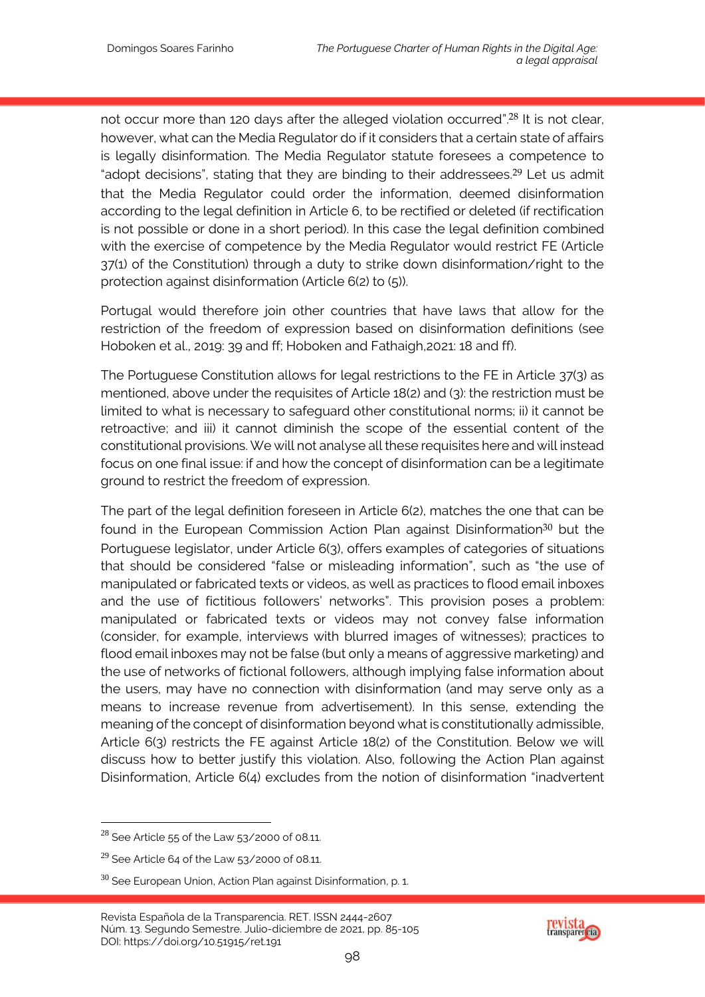not occur more than 120 days after the alleged violation occurred".<sup>28</sup> It is not clear, however, what can the Media Regulator do if it considers that a certain state of affairs is legally disinformation. The Media Regulator statute foresees a competence to "adopt decisions", stating that they are binding to their addressees.29 Let us admit that the Media Regulator could order the information, deemed disinformation according to the legal definition in Article 6, to be rectified or deleted (if rectification is not possible or done in a short period). In this case the legal definition combined with the exercise of competence by the Media Regulator would restrict FE (Article 37(1) of the Constitution) through a duty to strike down disinformation/right to the protection against disinformation (Article 6(2) to (5)).

Portugal would therefore join other countries that have laws that allow for the restriction of the freedom of expression based on disinformation definitions (see Hoboken et al., 2019: 39 and ff; Hoboken and Fathaigh,2021: 18 and ff).

The Portuguese Constitution allows for legal restrictions to the FE in Article 37(3) as mentioned, above under the requisites of Article 18(2) and (3): the restriction must be limited to what is necessary to safeguard other constitutional norms; ii) it cannot be retroactive; and iii) it cannot diminish the scope of the essential content of the constitutional provisions. We will not analyse all these requisites here and will instead focus on one final issue: if and how the concept of disinformation can be a legitimate ground to restrict the freedom of expression.

The part of the legal definition foreseen in Article 6(2), matches the one that can be found in the European Commission Action Plan against Disinformation<sup>30</sup> but the Portuguese legislator, under Article 6(3), offers examples of categories of situations that should be considered "false or misleading information", such as "the use of manipulated or fabricated texts or videos, as well as practices to flood email inboxes and the use of fictitious followers' networks". This provision poses a problem: manipulated or fabricated texts or videos may not convey false information (consider, for example, interviews with blurred images of witnesses); practices to flood email inboxes may not be false (but only a means of aggressive marketing) and the use of networks of fictional followers, although implying false information about the users, may have no connection with disinformation (and may serve only as a means to increase revenue from advertisement). In this sense, extending the meaning of the concept of disinformation beyond what is constitutionally admissible, Article 6(3) restricts the FE against Article 18(2) of the Constitution. Below we will discuss how to better justify this violation. Also, following the Action Plan against Disinformation, Article 6(4) excludes from the notion of disinformation "inadvertent

1

Revista Española de la Transparencia. RET. ISSN 2444-2607 Núm. 13. Segundo Semestre. Julio-diciembre de 2021, pp. 85-105 DOI: https://doi.org/10.51915/ret.191



 $28$  See Article 55 of the Law 53/2000 of 08.11.

 $29$  See Article 64 of the Law 53/2000 of 08.11.

 $30$  See European Union, Action Plan against Disinformation, p. 1.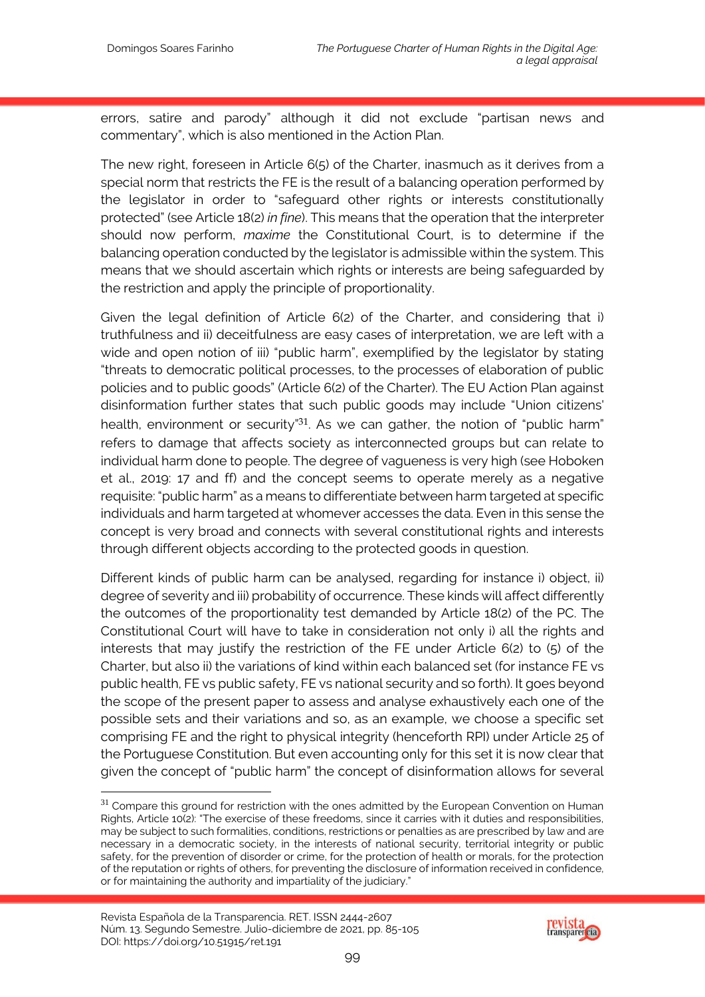errors, satire and parody" although it did not exclude "partisan news and commentary", which is also mentioned in the Action Plan.

The new right, foreseen in Article 6(5) of the Charter, inasmuch as it derives from a special norm that restricts the FE is the result of a balancing operation performed by the legislator in order to "safeguard other rights or interests constitutionally protected" (see Article 18(2) *in fine*). This means that the operation that the interpreter should now perform, *maxime* the Constitutional Court, is to determine if the balancing operation conducted by the legislator is admissible within the system. This means that we should ascertain which rights or interests are being safeguarded by the restriction and apply the principle of proportionality.

Given the legal definition of Article 6(2) of the Charter, and considering that i) truthfulness and ii) deceitfulness are easy cases of interpretation, we are left with a wide and open notion of iii) "public harm", exemplified by the legislator by stating "threats to democratic political processes, to the processes of elaboration of public policies and to public goods" (Article 6(2) of the Charter). The EU Action Plan against disinformation further states that such public goods may include "Union citizens' health, environment or security<sup>"31</sup>. As we can gather, the notion of "public harm" refers to damage that affects society as interconnected groups but can relate to individual harm done to people. The degree of vagueness is very high (see Hoboken et al., 2019: 17 and ff) and the concept seems to operate merely as a negative requisite: "public harm" as a means to differentiate between harm targeted at specific individuals and harm targeted at whomever accesses the data. Even in this sense the concept is very broad and connects with several constitutional rights and interests through different objects according to the protected goods in question.

Different kinds of public harm can be analysed, regarding for instance i) object, ii) degree of severity and iii) probability of occurrence. These kinds will affect differently the outcomes of the proportionality test demanded by Article 18(2) of the PC. The Constitutional Court will have to take in consideration not only i) all the rights and interests that may justify the restriction of the FE under Article 6(2) to (5) of the Charter, but also ii) the variations of kind within each balanced set (for instance FE vs public health, FE vs public safety, FE vs national security and so forth). It goes beyond the scope of the present paper to assess and analyse exhaustively each one of the possible sets and their variations and so, as an example, we choose a specific set comprising FE and the right to physical integrity (henceforth RPI) under Article 25 of the Portuguese Constitution. But even accounting only for this set it is now clear that given the concept of "public harm" the concept of disinformation allows for several

-



 $31$  Compare this ground for restriction with the ones admitted by the European Convention on Human Rights, Article 10(2): "The exercise of these freedoms, since it carries with it duties and responsibilities, may be subject to such formalities, conditions, restrictions or penalties as are prescribed by law and are necessary in a democratic society, in the interests of national security, territorial integrity or public safety, for the prevention of disorder or crime, for the protection of health or morals, for the protection of the reputation or rights of others, for preventing the disclosure of information received in confidence, or for maintaining the authority and impartiality of the judiciary."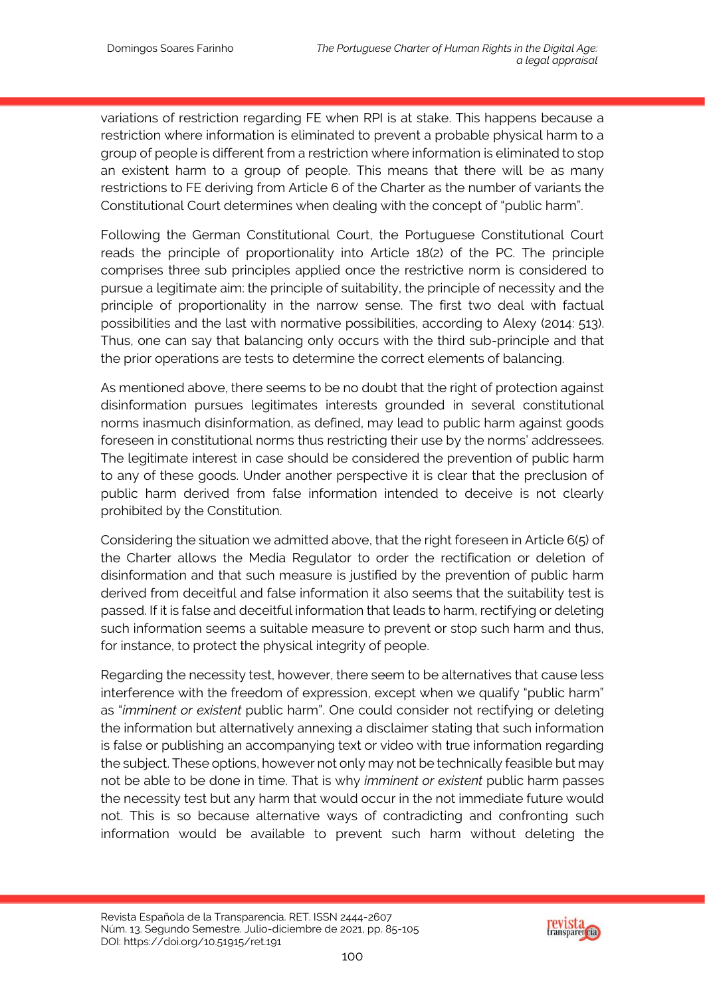variations of restriction regarding FE when RPI is at stake. This happens because a restriction where information is eliminated to prevent a probable physical harm to a group of people is different from a restriction where information is eliminated to stop an existent harm to a group of people. This means that there will be as many restrictions to FE deriving from Article 6 of the Charter as the number of variants the Constitutional Court determines when dealing with the concept of "public harm".

Following the German Constitutional Court, the Portuguese Constitutional Court reads the principle of proportionality into Article 18(2) of the PC. The principle comprises three sub principles applied once the restrictive norm is considered to pursue a legitimate aim: the principle of suitability, the principle of necessity and the principle of proportionality in the narrow sense. The first two deal with factual possibilities and the last with normative possibilities, according to Alexy (2014: 513). Thus, one can say that balancing only occurs with the third sub-principle and that the prior operations are tests to determine the correct elements of balancing.

As mentioned above, there seems to be no doubt that the right of protection against disinformation pursues legitimates interests grounded in several constitutional norms inasmuch disinformation, as defined, may lead to public harm against goods foreseen in constitutional norms thus restricting their use by the norms' addressees. The legitimate interest in case should be considered the prevention of public harm to any of these goods. Under another perspective it is clear that the preclusion of public harm derived from false information intended to deceive is not clearly prohibited by the Constitution.

Considering the situation we admitted above, that the right foreseen in Article 6(5) of the Charter allows the Media Regulator to order the rectification or deletion of disinformation and that such measure is justified by the prevention of public harm derived from deceitful and false information it also seems that the suitability test is passed. If it is false and deceitful information that leads to harm, rectifying or deleting such information seems a suitable measure to prevent or stop such harm and thus, for instance, to protect the physical integrity of people.

Regarding the necessity test, however, there seem to be alternatives that cause less interference with the freedom of expression, except when we qualify "public harm" as "*imminent or existent* public harm". One could consider not rectifying or deleting the information but alternatively annexing a disclaimer stating that such information is false or publishing an accompanying text or video with true information regarding the subject. These options, however not only may not be technically feasible but may not be able to be done in time. That is why *imminent or existent* public harm passes the necessity test but any harm that would occur in the not immediate future would not. This is so because alternative ways of contradicting and confronting such information would be available to prevent such harm without deleting the

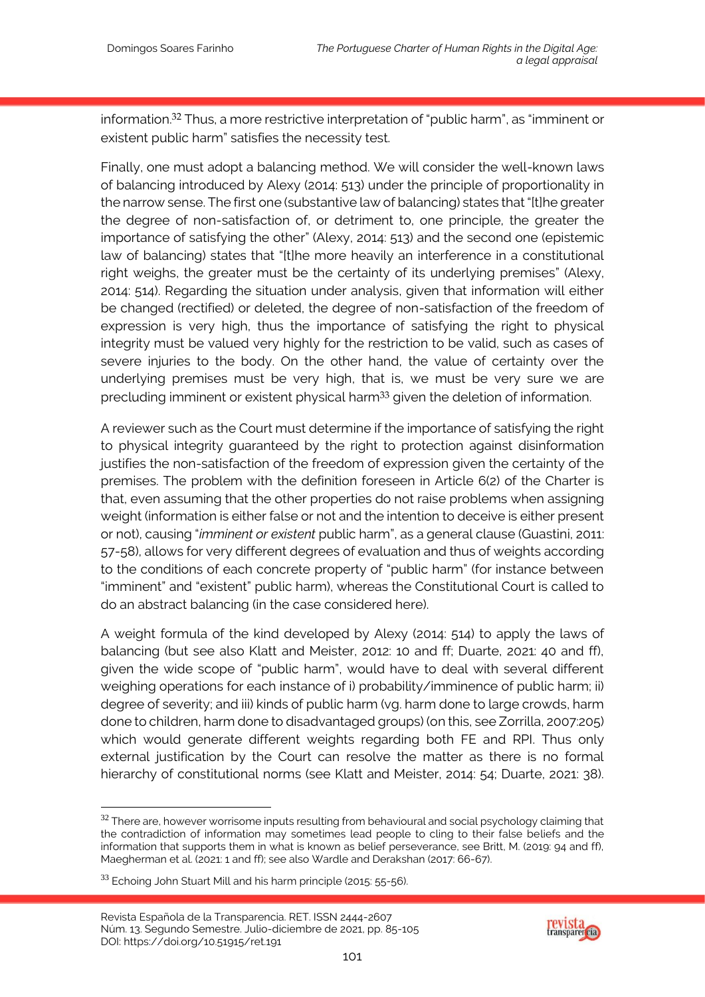information.32 Thus, a more restrictive interpretation of "public harm", as "imminent or existent public harm" satisfies the necessity test.

Finally, one must adopt a balancing method. We will consider the well-known laws of balancing introduced by Alexy (2014: 513) under the principle of proportionality in the narrow sense. The first one (substantive law of balancing) states that "[t]he greater the degree of non-satisfaction of, or detriment to, one principle, the greater the importance of satisfying the other" (Alexy, 2014: 513) and the second one (epistemic law of balancing) states that "[t]he more heavily an interference in a constitutional right weighs, the greater must be the certainty of its underlying premises" (Alexy, 2014: 514). Regarding the situation under analysis, given that information will either be changed (rectified) or deleted, the degree of non-satisfaction of the freedom of expression is very high, thus the importance of satisfying the right to physical integrity must be valued very highly for the restriction to be valid, such as cases of severe injuries to the body. On the other hand, the value of certainty over the underlying premises must be very high, that is, we must be very sure we are precluding imminent or existent physical harm<sup>33</sup> given the deletion of information.

A reviewer such as the Court must determine if the importance of satisfying the right to physical integrity guaranteed by the right to protection against disinformation justifies the non-satisfaction of the freedom of expression given the certainty of the premises. The problem with the definition foreseen in Article 6(2) of the Charter is that, even assuming that the other properties do not raise problems when assigning weight (information is either false or not and the intention to deceive is either present or not), causing "*imminent or existent* public harm", as a general clause (Guastini, 2011: 57-58), allows for very different degrees of evaluation and thus of weights according to the conditions of each concrete property of "public harm" (for instance between "imminent" and "existent" public harm), whereas the Constitutional Court is called to do an abstract balancing (in the case considered here).

A weight formula of the kind developed by Alexy (2014: 514) to apply the laws of balancing (but see also Klatt and Meister, 2012: 10 and ff; Duarte, 2021: 40 and ff), given the wide scope of "public harm", would have to deal with several different weighing operations for each instance of i) probability/imminence of public harm; ii) degree of severity; and iii) kinds of public harm (vg. harm done to large crowds, harm done to children, harm done to disadvantaged groups) (on this, see Zorrilla, 2007:205) which would generate different weights regarding both FE and RPI. Thus only external justification by the Court can resolve the matter as there is no formal hierarchy of constitutional norms (see Klatt and Meister, 2014: 54; Duarte, 2021: 38).

1



 $32$  There are, however worrisome inputs resulting from behavioural and social psychology claiming that the contradiction of information may sometimes lead people to cling to their false beliefs and the information that supports them in what is known as belief perseverance, see Britt, M. (2019: 94 and ff), Maegherman et al. (2021: 1 and ff); see also Wardle and Derakshan (2017: 66-67).

<sup>33</sup> Echoing John Stuart Mill and his harm principle (2015: 55-56).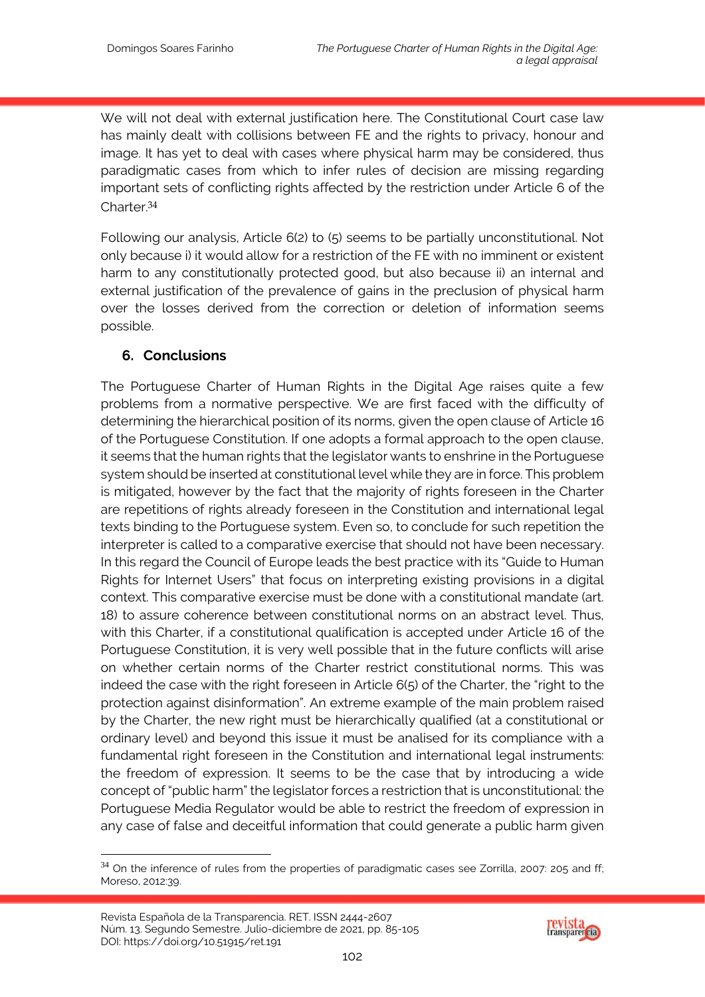We will not deal with external justification here. The Constitutional Court case law has mainly dealt with collisions between FE and the rights to privacy, honour and image. It has yet to deal with cases where physical harm may be considered, thus paradigmatic cases from which to infer rules of decision are missing regarding important sets of conflicting rights affected by the restriction under Article 6 of the Charter<sup>34</sup>

Following our analysis, Article 6(2) to (5) seems to be partially unconstitutional. Not only because i) it would allow for a restriction of the FE with no imminent or existent harm to any constitutionally protected good, but also because ii) an internal and external justification of the prevalence of gains in the preclusion of physical harm over the losses derived from the correction or deletion of information seems possible.

# **6. Conclusions**

1

The Portuguese Charter of Human Rights in the Digital Age raises quite a few problems from a normative perspective. We are first faced with the difficulty of determining the hierarchical position of its norms, given the open clause of Article 16 of the Portuguese Constitution. If one adopts a formal approach to the open clause, it seems that the human rights that the legislator wants to enshrine in the Portuguese system should be inserted at constitutional level while they are in force. This problem is mitigated, however by the fact that the majority of rights foreseen in the Charter are repetitions of rights already foreseen in the Constitution and international legal texts binding to the Portuguese system. Even so, to conclude for such repetition the interpreter is called to a comparative exercise that should not have been necessary. In this regard the Council of Europe leads the best practice with its "Guide to Human Rights for Internet Users" that focus on interpreting existing provisions in a digital context. This comparative exercise must be done with a constitutional mandate (art. 18) to assure coherence between constitutional norms on an abstract level. Thus, with this Charter, if a constitutional qualification is accepted under Article 16 of the Portuguese Constitution, it is very well possible that in the future conflicts will arise on whether certain norms of the Charter restrict constitutional norms. This was indeed the case with the right foreseen in Article 6(5) of the Charter, the "right to the protection against disinformation". An extreme example of the main problem raised by the Charter, the new right must be hierarchically qualified (at a constitutional or ordinary level) and beyond this issue it must be analised for its compliance with a fundamental right foreseen in the Constitution and international legal instruments: the freedom of expression. It seems to be the case that by introducing a wide concept of "public harm" the legislator forces a restriction that is unconstitutional: the Portuguese Media Regulator would be able to restrict the freedom of expression in any case of false and deceitful information that could generate a public harm given



<sup>&</sup>lt;sup>34</sup> On the inference of rules from the properties of paradigmatic cases see Zorrilla, 2007: 205 and ff; Moreso, 2012:39.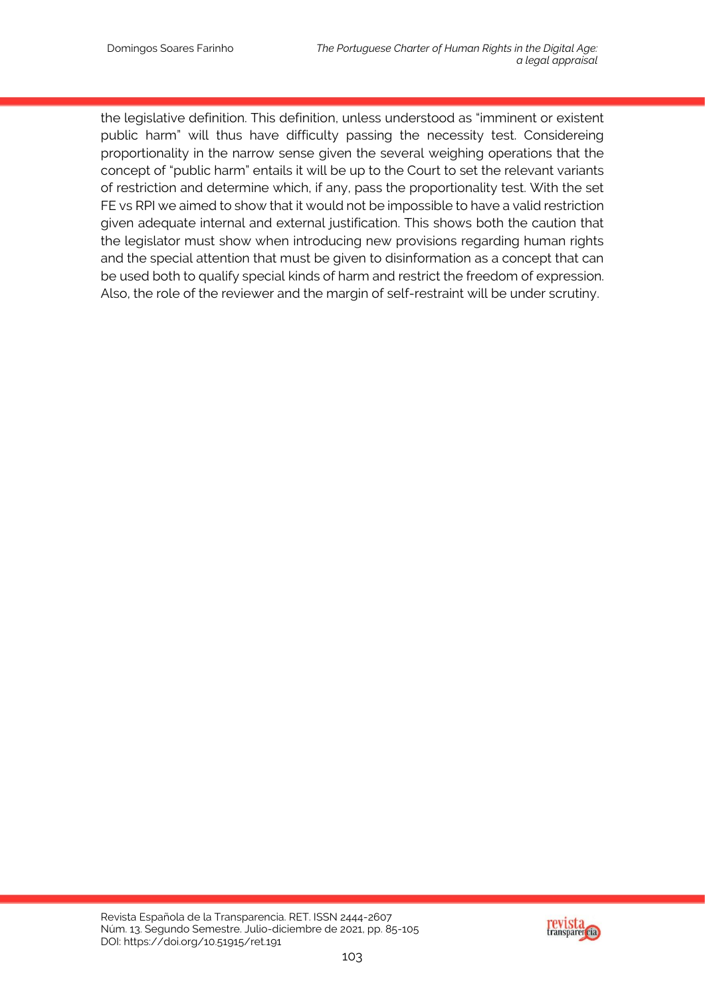the legislative definition. This definition, unless understood as "imminent or existent public harm" will thus have difficulty passing the necessity test. Considereing proportionality in the narrow sense given the several weighing operations that the concept of "public harm" entails it will be up to the Court to set the relevant variants of restriction and determine which, if any, pass the proportionality test. With the set FE vs RPI we aimed to show that it would not be impossible to have a valid restriction given adequate internal and external justification. This shows both the caution that the legislator must show when introducing new provisions regarding human rights and the special attention that must be given to disinformation as a concept that can be used both to qualify special kinds of harm and restrict the freedom of expression. Also, the role of the reviewer and the margin of self-restraint will be under scrutiny.

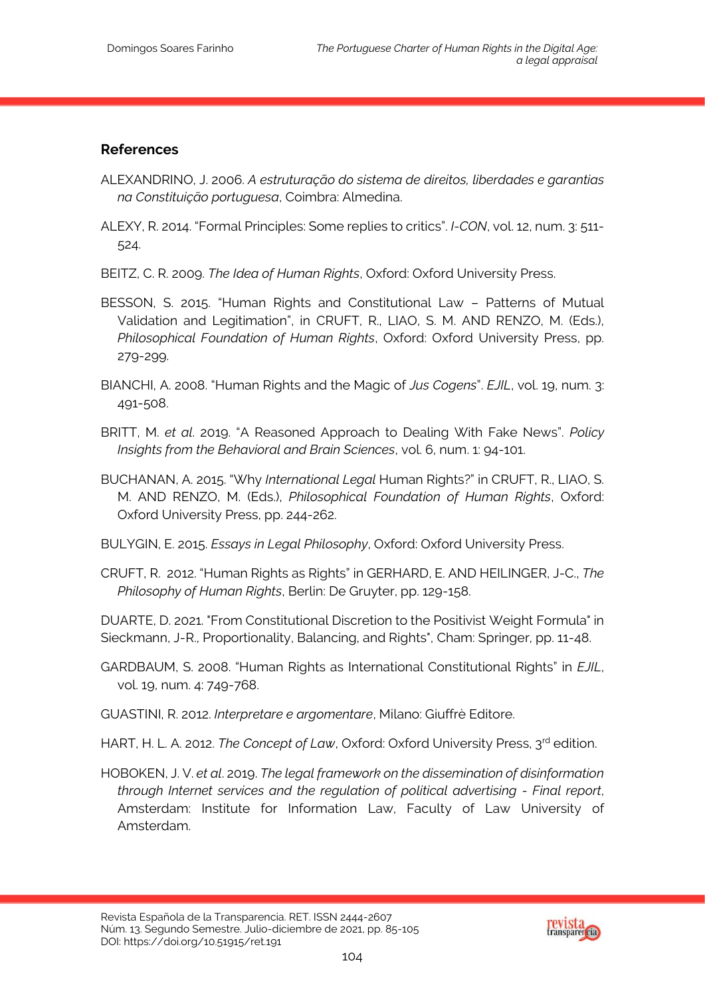#### **References**

- ALEXANDRINO, J. 2006. *A estruturação do sistema de direitos, liberdades e garantias na Constituição portuguesa*, Coimbra: Almedina.
- ALEXY, R. 2014. "Formal Principles: Some replies to critics". *I-CON*, vol. 12, num. 3: 511- 524.
- BEITZ, C. R. 2009. *The Idea of Human Rights*, Oxford: Oxford University Press.
- BESSON, S. 2015. "Human Rights and Constitutional Law Patterns of Mutual Validation and Legitimation", in CRUFT, R., LIAO, S. M. AND RENZO, M. (Eds.), *Philosophical Foundation of Human Rights*, Oxford: Oxford University Press, pp. 279-299.
- BIANCHI, A. 2008. "Human Rights and the Magic of *Jus Cogens*". *EJIL*, vol. 19, num. 3: 491-508.
- BRITT, M. *et al*. 2019. "A Reasoned Approach to Dealing With Fake News". *Policy Insights from the Behavioral and Brain Sciences*, vol. 6, num. 1: 94-101.
- BUCHANAN, A. 2015. "Why *International Legal* Human Rights?" in CRUFT, R., LIAO, S. M. AND RENZO, M. (Eds.), *Philosophical Foundation of Human Rights*, Oxford: Oxford University Press, pp. 244-262.
- BULYGIN, E. 2015. *Essays in Legal Philosophy*, Oxford: Oxford University Press.
- CRUFT, R. 2012. "Human Rights as Rights" in GERHARD, E. AND HEILINGER, J-C., *The Philosophy of Human Rights*, Berlin: De Gruyter, pp. 129-158.

DUARTE, D. 2021. "From Constitutional Discretion to the Positivist Weight Formula" in Sieckmann, J-R., Proportionality, Balancing, and Rights", Cham: Springer, pp. 11-48.

- GARDBAUM, S. 2008. "Human Rights as International Constitutional Rights" in *EJIL*, vol. 19, num. 4: 749-768.
- GUASTINI, R. 2012. *Interpretare e argomentare*, Milano: Giuffrè Editore.
- HART, H. L. A. 2012. *The Concept of Law*, Oxford: Oxford University Press, 3<sup>rd</sup> edition.
- HOBOKEN, J. V. *et al*. 2019. *The legal framework on the dissemination of disinformation through Internet services and the regulation of political advertising - Final report*, Amsterdam: Institute for Information Law, Faculty of Law University of Amsterdam.